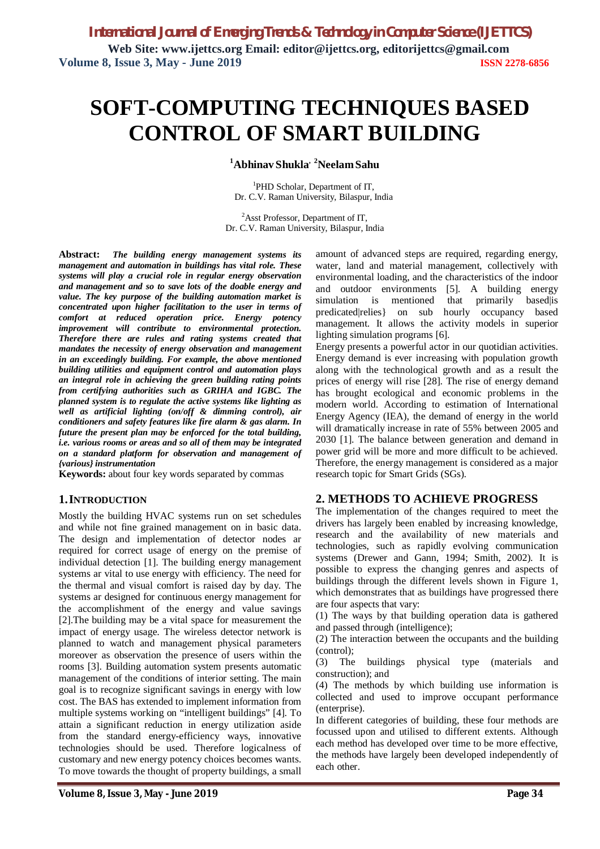# **SOFT-COMPUTING TECHNIQUES BASED CONTROL OF SMART BUILDING**

**<sup>1</sup>Abhinav Shukla, <sup>2</sup>NeelamSahu**

<sup>1</sup>PHD Scholar, Department of IT, Dr. C.V. Raman University, Bilaspur, India

<sup>2</sup>Asst Professor, Department of IT, Dr. C.V. Raman University, Bilaspur, India

**Abstract:** *The building energy management systems its management and automation in buildings has vital role. These systems will play a crucial role in regular energy observation and management and so to save lots of the doable energy and value. The key purpose of the building automation market is concentrated upon higher facilitation to the user in terms of comfort at reduced operation price. Energy potency improvement will contribute to environmental protection. Therefore there are rules and rating systems created that mandates the necessity of energy observation and management in an exceedingly building. For example, the above mentioned building utilities and equipment control and automation plays an integral role in achieving the green building rating points from certifying authorities such as GRIHA and IGBC. The planned system is to regulate the active systems like lighting as well as artificial lighting (on/off & dimming control), air conditioners and safety features like fire alarm & gas alarm. In future the present plan may be enforced for the total building, i.e. various rooms or areas and so all of them may be integrated on a standard platform for observation and management of {various} instrumentation*

**Keywords:** about four key words separated by commas

## **1.INTRODUCTION**

Mostly the building HVAC systems run on set schedules and while not fine grained management on in basic data. The design and implementation of detector nodes ar required for correct usage of energy on the premise of individual detection [1]. The building energy management systems ar vital to use energy with efficiency. The need for the thermal and visual comfort is raised day by day. The systems ar designed for continuous energy management for the accomplishment of the energy and value savings [2].The building may be a vital space for measurement the impact of energy usage. The wireless detector network is planned to watch and management physical parameters moreover as observation the presence of users within the rooms [3]. Building automation system presents automatic management of the conditions of interior setting. The main goal is to recognize significant savings in energy with low cost. The BAS has extended to implement information from multiple systems working on "intelligent buildings" [4]. To attain a significant reduction in energy utilization aside from the standard energy-efficiency ways, innovative technologies should be used. Therefore logicalness of customary and new energy potency choices becomes wants. To move towards the thought of property buildings, a small

amount of advanced steps are required, regarding energy, water, land and material management, collectively with environmental loading, and the characteristics of the indoor and outdoor environments [5]. A building energy simulation is mentioned that primarily based is predicated|relies} on sub hourly occupancy based management. It allows the activity models in superior lighting simulation programs [6].

Energy presents a powerful actor in our quotidian activities. Energy demand is ever increasing with population growth along with the technological growth and as a result the prices of energy will rise [28]. The rise of energy demand has brought ecological and economic problems in the modern world. According to estimation of International Energy Agency (IEA), the demand of energy in the world will dramatically increase in rate of 55% between 2005 and 2030 [1]. The balance between generation and demand in power grid will be more and more difficult to be achieved. Therefore, the energy management is considered as a major research topic for Smart Grids (SGs).

## **2. METHODS TO ACHIEVE PROGRESS**

The implementation of the changes required to meet the drivers has largely been enabled by increasing knowledge, research and the availability of new materials and technologies, such as rapidly evolving communication systems (Drewer and Gann, 1994; Smith, 2002). It is possible to express the changing genres and aspects of buildings through the different levels shown in Figure 1, which demonstrates that as buildings have progressed there are four aspects that vary:

(1) The ways by that building operation data is gathered and passed through (intelligence);

(2) The interaction between the occupants and the building (control);

(3) The buildings physical type (materials and construction); and

(4) The methods by which building use information is collected and used to improve occupant performance (enterprise).

In different categories of building, these four methods are focussed upon and utilised to different extents. Although each method has developed over time to be more effective, the methods have largely been developed independently of each other.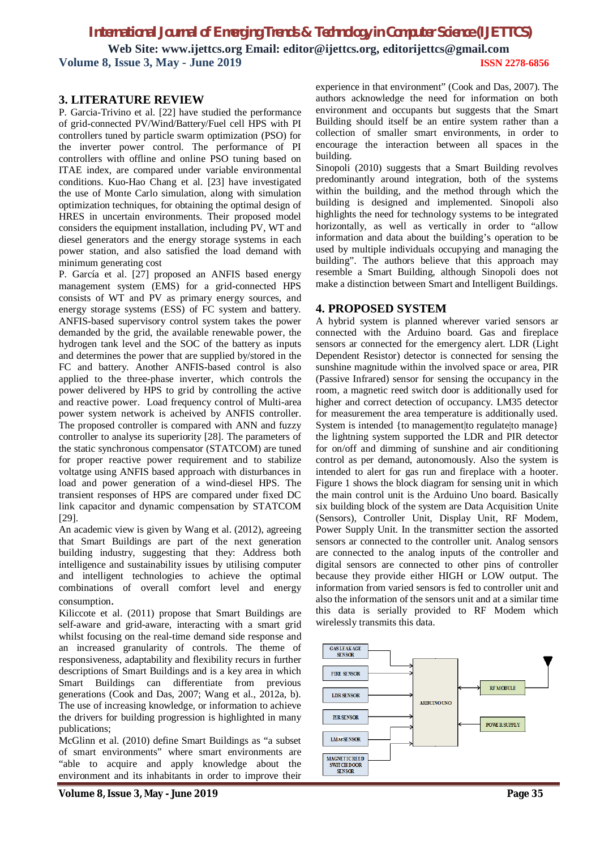**Web Site: www.ijettcs.org Email: editor@ijettcs.org, editorijettcs@gmail.com Volume 8, Issue 3, May - June 2019 ISSN 2278-6856**

## **3. LITERATURE REVIEW**

P. Garcia-Trivino et al. [22] have studied the performance of grid-connected PV/Wind/Battery/Fuel cell HPS with PI controllers tuned by particle swarm optimization (PSO) for the inverter power control. The performance of PI controllers with offline and online PSO tuning based on ITAE index, are compared under variable environmental conditions. Kuo-Hao Chang et al. [23] have investigated the use of Monte Carlo simulation, along with simulation optimization techniques, for obtaining the optimal design of HRES in uncertain environments. Their proposed model considers the equipment installation, including PV, WT and diesel generators and the energy storage systems in each power station, and also satisfied the load demand with minimum generating cost

P. García et al. [27] proposed an ANFIS based energy management system (EMS) for a grid-connected HPS consists of WT and PV as primary energy sources, and energy storage systems (ESS) of FC system and battery. ANFIS-based supervisory control system takes the power demanded by the grid, the available renewable power, the hydrogen tank level and the SOC of the battery as inputs and determines the power that are supplied by/stored in the FC and battery. Another ANFIS-based control is also applied to the three-phase inverter, which controls the power delivered by HPS to grid by controlling the active and reactive power. Load frequency control of Multi-area power system network is acheived by ANFIS controller. The proposed controller is compared with ANN and fuzzy controller to analyse its superiority [28]. The parameters of the static synchronous compensator (STATCOM) are tuned for proper reactive power requirement and to stabilize voltatge using ANFIS based approach with disturbances in load and power generation of a wind-diesel HPS. The transient responses of HPS are compared under fixed DC link capacitor and dynamic compensation by STATCOM [29].

An academic view is given by Wang et al. (2012), agreeing that Smart Buildings are part of the next generation building industry, suggesting that they: Address both intelligence and sustainability issues by utilising computer and intelligent technologies to achieve the optimal combinations of overall comfort level and energy consumption.

Kiliccote et al. (2011) propose that Smart Buildings are self-aware and grid-aware, interacting with a smart grid whilst focusing on the real-time demand side response and an increased granularity of controls. The theme of responsiveness, adaptability and flexibility recurs in further descriptions of Smart Buildings and is a key area in which Smart Buildings can differentiate from previous generations (Cook and Das, 2007; Wang et al., 2012a, b). The use of increasing knowledge, or information to achieve the drivers for building progression is highlighted in many publications;

McGlinn et al. (2010) define Smart Buildings as "a subset of smart environments" where smart environments are "able to acquire and apply knowledge about the environment and its inhabitants in order to improve their

experience in that environment" (Cook and Das, 2007). The authors acknowledge the need for information on both environment and occupants but suggests that the Smart Building should itself be an entire system rather than a collection of smaller smart environments, in order to encourage the interaction between all spaces in the building.

Sinopoli (2010) suggests that a Smart Building revolves predominantly around integration, both of the systems within the building, and the method through which the building is designed and implemented. Sinopoli also highlights the need for technology systems to be integrated horizontally, as well as vertically in order to "allow information and data about the building's operation to be used by multiple individuals occupying and managing the building". The authors believe that this approach may resemble a Smart Building, although Sinopoli does not make a distinction between Smart and Intelligent Buildings.

#### **4. PROPOSED SYSTEM**

A hybrid system is planned wherever varied sensors ar connected with the Arduino board. Gas and fireplace sensors ar connected for the emergency alert. LDR (Light Dependent Resistor) detector is connected for sensing the sunshine magnitude within the involved space or area, PIR (Passive Infrared) sensor for sensing the occupancy in the room, a magnetic reed switch door is additionally used for higher and correct detection of occupancy. LM35 detector for measurement the area temperature is additionally used. System is intended {to management|to regulate|to manage} the lightning system supported the LDR and PIR detector for on/off and dimming of sunshine and air conditioning control as per demand, autonomously. Also the system is intended to alert for gas run and fireplace with a hooter. Figure 1 shows the block diagram for sensing unit in which the main control unit is the Arduino Uno board. Basically six building block of the system are Data Acquisition Unite (Sensors), Controller Unit, Display Unit, RF Modem, Power Supply Unit. In the transmitter section the assorted sensors ar connected to the controller unit. Analog sensors are connected to the analog inputs of the controller and digital sensors are connected to other pins of controller because they provide either HIGH or LOW output. The information from varied sensors is fed to controller unit and also the information of the sensors unit and at a similar time this data is serially provided to RF Modem which wirelessly transmits this data.

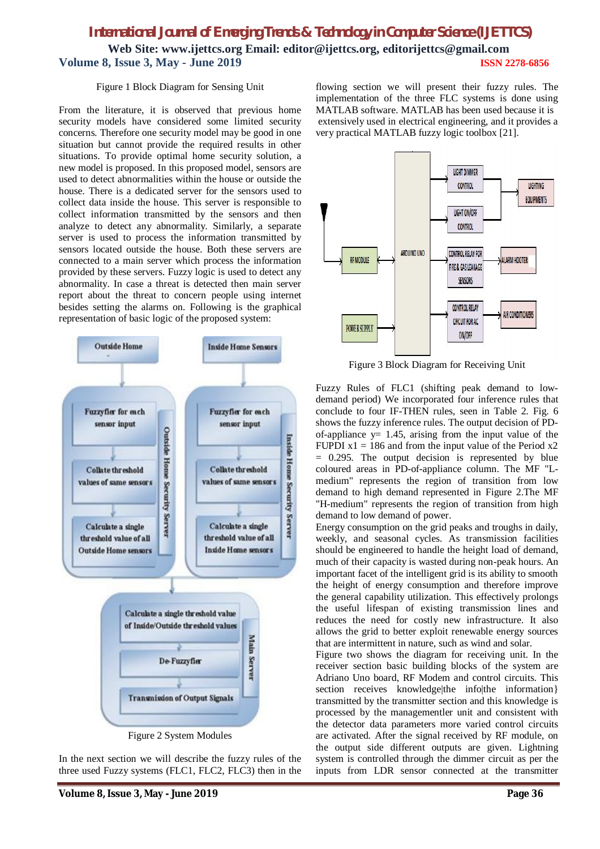# *International Journal of Emerging Trends & Technology in Computer Science (IJETTCS)* **Web Site: www.ijettcs.org Email: editor@ijettcs.org, editorijettcs@gmail.com Volume 8, Issue 3, May - June 2019 ISSN 2278-6856**

#### Figure 1 Block Diagram for Sensing Unit

From the literature, it is observed that previous home security models have considered some limited security concerns. Therefore one security model may be good in one situation but cannot provide the required results in other situations. To provide optimal home security solution, a new model is proposed. In this proposed model, sensors are used to detect abnormalities within the house or outside the house. There is a dedicated server for the sensors used to collect data inside the house. This server is responsible to collect information transmitted by the sensors and then analyze to detect any abnormality. Similarly, a separate server is used to process the information transmitted by sensors located outside the house. Both these servers are connected to a main server which process the information provided by these servers. Fuzzy logic is used to detect any abnormality. In case a threat is detected then main server report about the threat to concern people using internet besides setting the alarms on. Following is the graphical representation of basic logic of the proposed system:



Figure 2 System Modules

In the next section we will describe the fuzzy rules of the three used Fuzzy systems (FLC1, FLC2, FLC3) then in the

**Volume 8, Issue 3, May - June 2019 Page 36**

flowing section we will present their fuzzy rules. The implementation of the three FLC systems is done using MATLAB software. MATLAB has been used because it is extensively used in electrical engineering, and it provides a very practical MATLAB fuzzy logic toolbox [21].



Figure 3 Block Diagram for Receiving Unit

Fuzzy Rules of FLC1 (shifting peak demand to lowdemand period) We incorporated four inference rules that conclude to four IF-THEN rules, seen in Table 2. Fig. 6 shows the fuzzy inference rules. The output decision of PDof-appliance  $y = 1.45$ , arising from the input value of the FUPDI  $x1 = 186$  and from the input value of the Period  $x2$  $= 0.295$ . The output decision is represented by blue coloured areas in PD-of-appliance column. The MF "Lmedium" represents the region of transition from low demand to high demand represented in Figure 2.The MF "H-medium" represents the region of transition from high demand to low demand of power.

Energy consumption on the grid peaks and troughs in daily, weekly, and seasonal cycles. As transmission facilities should be engineered to handle the height load of demand, much of their capacity is wasted during non-peak hours. An important facet of the intelligent grid is its ability to smooth the height of energy consumption and therefore improve the general capability utilization. This effectively prolongs the useful lifespan of existing transmission lines and reduces the need for costly new infrastructure. It also allows the grid to better exploit renewable energy sources that are intermittent in nature, such as wind and solar.

Figure two shows the diagram for receiving unit. In the receiver section basic building blocks of the system are Adriano Uno board, RF Modem and control circuits. This section receives knowledge|the info|the information} transmitted by the transmitter section and this knowledge is processed by the managementler unit and consistent with the detector data parameters more varied control circuits are activated. After the signal received by RF module, on the output side different outputs are given. Lightning system is controlled through the dimmer circuit as per the inputs from LDR sensor connected at the transmitter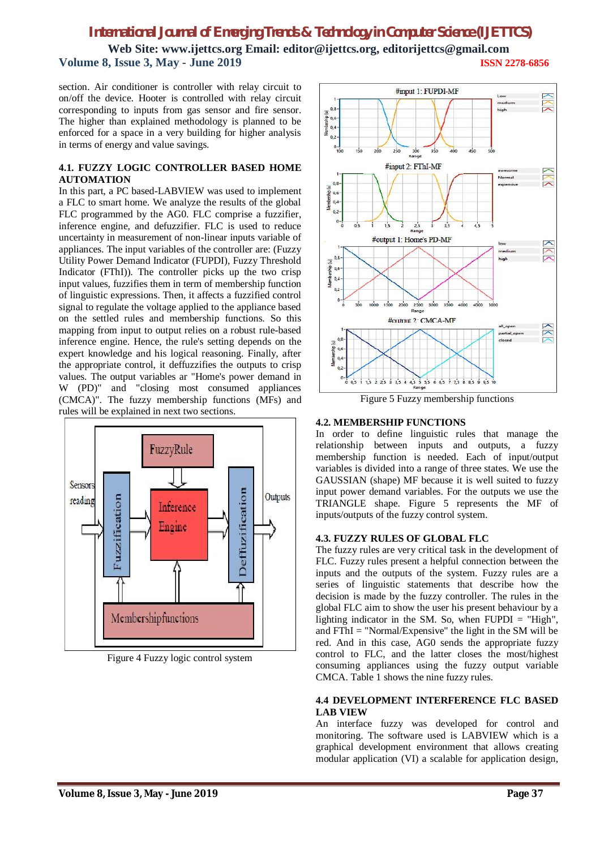**Web Site: www.ijettcs.org Email: editor@ijettcs.org, editorijettcs@gmail.com Volume 8, Issue 3, May - June 2019 ISSN 2278-6856**

section. Air conditioner is controller with relay circuit to on/off the device. Hooter is controlled with relay circuit corresponding to inputs from gas sensor and fire sensor. The higher than explained methodology is planned to be enforced for a space in a very building for higher analysis in terms of energy and value savings.

#### **4.1. FUZZY LOGIC CONTROLLER BASED HOME AUTOMATION**

In this part, a PC based-LABVIEW was used to implement a FLC to smart home. We analyze the results of the global FLC programmed by the AG0. FLC comprise a fuzzifier, inference engine, and defuzzifier. FLC is used to reduce uncertainty in measurement of non-linear inputs variable of appliances. The input variables of the controller are: (Fuzzy Utility Power Demand Indicator (FUPDI), Fuzzy Threshold Indicator (FThI)). The controller picks up the two crisp input values, fuzzifies them in term of membership function of linguistic expressions. Then, it affects a fuzzified control signal to regulate the voltage applied to the appliance based on the settled rules and membership functions. So this mapping from input to output relies on a robust rule-based inference engine. Hence, the rule's setting depends on the expert knowledge and his logical reasoning. Finally, after the appropriate control, it deffuzzifies the outputs to crisp values. The output variables ar "Home's power demand in W (PD)" and "closing most consumed appliances (CMCA)". The fuzzy membership functions (MFs) and rules will be explained in next two sections.



Figure 4 Fuzzy logic control system



Figure 5 Fuzzy membership functions

#### **4.2. MEMBERSHIP FUNCTIONS**

In order to define linguistic rules that manage the relationship between inputs and outputs, a fuzzy membership function is needed. Each of input/output variables is divided into a range of three states. We use the GAUSSIAN (shape) MF because it is well suited to fuzzy input power demand variables. For the outputs we use the TRIANGLE shape. Figure 5 represents the MF of inputs/outputs of the fuzzy control system.

#### **4.3. FUZZY RULES OF GLOBAL FLC**

The fuzzy rules are very critical task in the development of FLC. Fuzzy rules present a helpful connection between the inputs and the outputs of the system. Fuzzy rules are a series of linguistic statements that describe how the decision is made by the fuzzy controller. The rules in the global FLC aim to show the user his present behaviour by a lighting indicator in the SM. So, when  $FUPDI = "High",$ and FThI = "Normal/Expensive" the light in the SM will be red. And in this case, AG0 sends the appropriate fuzzy control to FLC, and the latter closes the most/highest consuming appliances using the fuzzy output variable CMCA. Table 1 shows the nine fuzzy rules.

#### **4.4 DEVELOPMENT INTERFERENCE FLC BASED LAB VIEW**

An interface fuzzy was developed for control and monitoring. The software used is LABVIEW which is a graphical development environment that allows creating modular application (VI) a scalable for application design,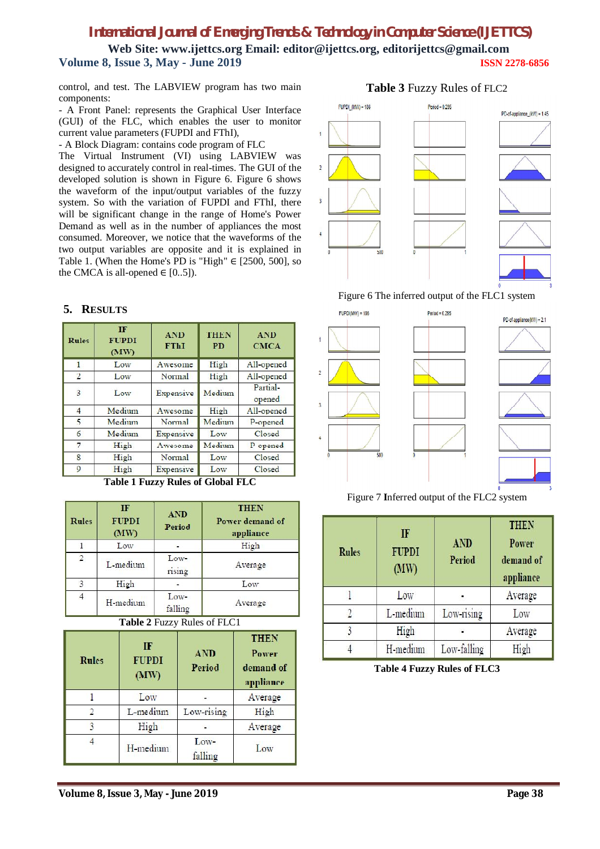**Web Site: www.ijettcs.org Email: editor@ijettcs.org, editorijettcs@gmail.com Volume 8, Issue 3, May - June 2019 ISSN 2278-6856**

control, and test. The LABVIEW program has two main components:

- A Front Panel: represents the Graphical User Interface (GUI) of the FLC, which enables the user to monitor current value parameters (FUPDI and FThI),

- A Block Diagram: contains code program of FLC

The Virtual Instrument (VI) using LABVIEW was designed to accurately control in real-times. The GUI of the developed solution is shown in Figure 6. Figure 6 shows the waveform of the input/output variables of the fuzzy system. So with the variation of FUPDI and FThI, there will be significant change in the range of Home's Power Demand as well as in the number of appliances the most consumed. Moreover, we notice that the waveforms of the two output variables are opposite and it is explained in Table 1. (When the Home's PD is "High"  $\in$  [2500, 500], so the CMCA is all-opened  $\in$  [0..5]).

#### **5. RESULTS**

| <b>Rules</b>   | <b>IF</b><br><b>FUPDI</b><br>(MW) | <b>AND</b><br><b>FThI</b> | <b>THEN</b><br><b>PD</b> | <b>AND</b><br><b>CMCA</b> |
|----------------|-----------------------------------|---------------------------|--------------------------|---------------------------|
| $\mathbf{1}$   | Low                               | Awesome                   | High                     | All-opened                |
| $\overline{2}$ | Low                               | Normal                    | High                     | All-opened                |
| $\overline{3}$ | Low                               | Expensive                 | Medium                   | Partial-<br>opened        |
| $\overline{4}$ | Medium                            | Awesome                   | High                     | All-opened                |
| 5              | Medium                            | Normal                    | Medium                   | P-opened                  |
| 6              | Medium                            | Expensive                 | Low                      | Closed                    |
| 7              | High                              | Awesome                   | Medium                   | P-opened                  |
| 8              | High                              | <b>Normal</b>             | Low                      | Closed                    |
| 9              | High                              | Expensive                 | Low                      | Closed                    |

**Table 1 Fuzzy Rules of Global FLC**

| <b>Rules</b>   | IF<br><b>FUPDI</b><br>(MW) | <b>AND</b><br>Period | <b>THEN</b><br>Power demand of<br>appliance |
|----------------|----------------------------|----------------------|---------------------------------------------|
|                | Low                        |                      | High                                        |
| $\overline{2}$ | L-medium                   | $Low-$<br>rising     | Average                                     |
| 3              | High                       |                      | Low                                         |
|                | H-medium                   | Low-<br>falling      | Average                                     |

**Table 2** Fuzzy Rules of FLC1

| <b>Rules</b> | IF<br><b>FUPDI</b><br>(MW) | <b>AND</b><br>Period | <b>THEN</b><br>Power<br>demand of<br>appliance |
|--------------|----------------------------|----------------------|------------------------------------------------|
|              | Low                        |                      | Average                                        |
|              | L-medium                   | Low-rising           | High                                           |
| 3            | High                       |                      | Average                                        |
|              | H-medium                   | Low-<br>falling      | Low                                            |





## Figure 6 The inferred output of the FLC1 system



Figure 7 **I**nferred output of the FLC2 system

| <b>Rules</b> | IF<br><b>FUPDI</b><br>(MW) | AND<br>Period | <b>THEN</b><br><b>Power</b><br>demand of<br>appliance |
|--------------|----------------------------|---------------|-------------------------------------------------------|
|              | Low                        |               | Average                                               |
|              | L-medium                   | Low-rising    | Low                                                   |
|              | High                       |               | Average                                               |
|              | H-medium                   | Low-falling   | High                                                  |

**Table 4 Fuzzy Rules of FLC3**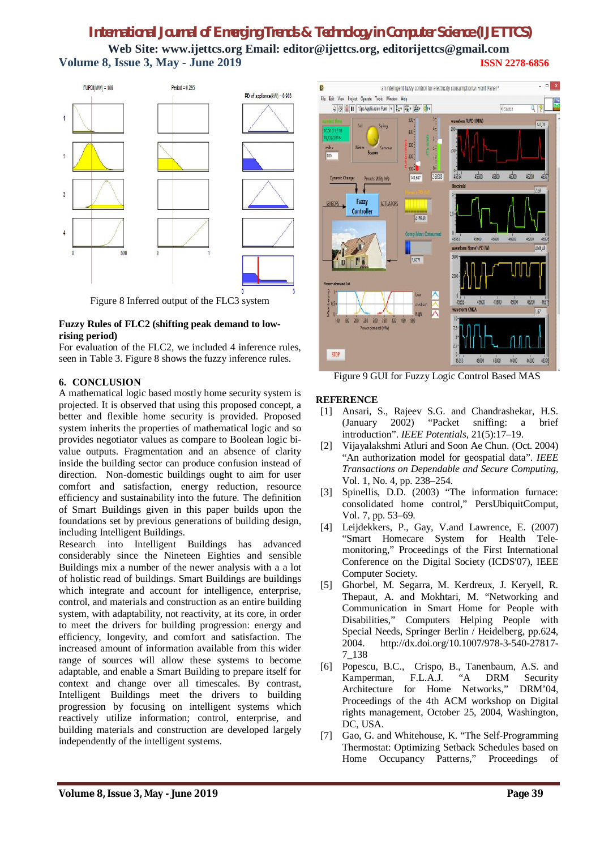# *International Journal of Emerging Trends & Technology in Computer Science (IJETTCS)* **Web Site: www.ijettcs.org Email: editor@ijettcs.org, editorijettcs@gmail.com Volume 8, Issue 3, May - June 2019 ISSN 2278-6856**



Figure 8 Inferred output of the FLC3 system

#### **Fuzzy Rules of FLC2 (shifting peak demand to lowrising period)**

For evaluation of the FLC2, we included 4 inference rules, seen in Table 3. Figure 8 shows the fuzzy inference rules.

## **6. CONCLUSION**

A mathematical logic based mostly home security system is projected. It is observed that using this proposed concept, a better and flexible home security is provided. Proposed system inherits the properties of mathematical logic and so provides negotiator values as compare to Boolean logic bivalue outputs. Fragmentation and an absence of clarity inside the building sector can produce confusion instead of direction. Non-domestic buildings ought to aim for user comfort and satisfaction, energy reduction, resource efficiency and sustainability into the future. The definition of Smart Buildings given in this paper builds upon the foundations set by previous generations of building design, including Intelligent Buildings.

Research into Intelligent Buildings has advanced considerably since the Nineteen Eighties and sensible Buildings mix a number of the newer analysis with a a lot of holistic read of buildings. Smart Buildings are buildings which integrate and account for intelligence, enterprise, control, and materials and construction as an entire building system, with adaptability, not reactivity, at its core, in order to meet the drivers for building progression: energy and efficiency, longevity, and comfort and satisfaction. The increased amount of information available from this wider range of sources will allow these systems to become adaptable, and enable a Smart Building to prepare itself for context and change over all timescales. By contrast, Intelligent Buildings meet the drivers to building progression by focusing on intelligent systems which reactively utilize information; control, enterprise, and building materials and construction are developed largely independently of the intelligent systems.



Figure 9 GUI for Fuzzy Logic Control Based MAS

## **REFERENCE**

- [1] Ansari, S., Rajeev S.G. and Chandrashekar, H.S. (January 2002) "Packet sniffing: a brief introduction". *IEEE Potentials*, 21(5):17–19.
- [2] Vijayalakshmi Atluri and Soon Ae Chun. (Oct. 2004) "An authorization model for geospatial data". *IEEE Transactions on Dependable and Secure Computing*, Vol. 1, No. 4, pp. 238–254.
- [3] Spinellis, D.D. (2003) "The information furnace: consolidated home control," PersUbiquitComput, Vol. 7, pp. 53–69.
- [4] Leijdekkers, P., Gay, V.and Lawrence, E. (2007) "Smart Homecare System for Health Telemonitoring," Proceedings of the First International Conference on the Digital Society (ICDS'07), IEEE Computer Society.
- [5] Ghorbel, M. Segarra, M. Kerdreux, J. Keryell, R. Thepaut, A. and Mokhtari, M. "Networking and Communication in Smart Home for People with Disabilities," Computers Helping People with Special Needs, Springer Berlin / Heidelberg, pp.624, 2004. http://dx.doi.org/10.1007/978-3-540-27817- 7\_138
- [6] Popescu, B.C., Crispo, B., Tanenbaum, A.S. and Kamperman, F.L.A.J. "A DRM Security Architecture for Home Networks," DRM'04, Proceedings of the 4th ACM workshop on Digital rights management, October 25, 2004, Washington, DC, USA.
- [7] Gao, G. and Whitehouse, K. "The Self-Programming Thermostat: Optimizing Setback Schedules based on Home Occupancy Patterns," Proceedings of